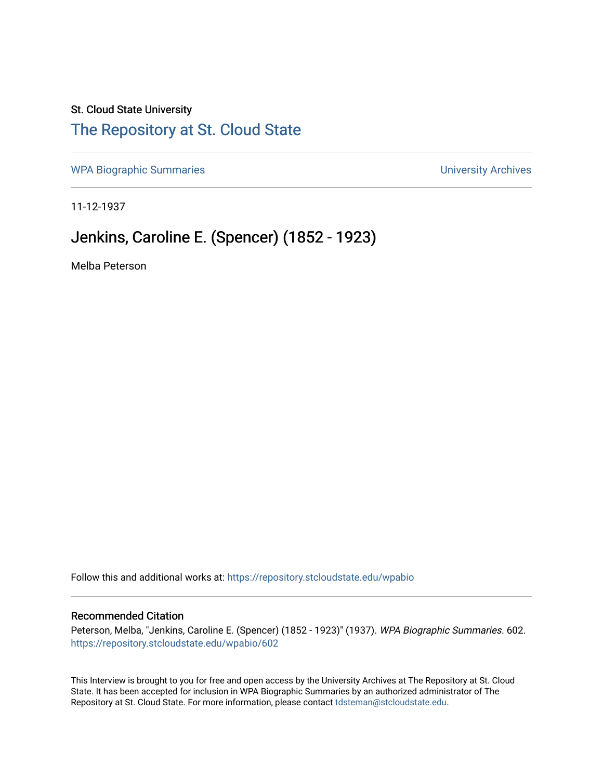## St. Cloud State University [The Repository at St. Cloud State](https://repository.stcloudstate.edu/)

[WPA Biographic Summaries](https://repository.stcloudstate.edu/wpabio) **WPA Biographic Summaries University Archives** 

11-12-1937

# Jenkins, Caroline E. (Spencer) (1852 - 1923)

Melba Peterson

Follow this and additional works at: [https://repository.stcloudstate.edu/wpabio](https://repository.stcloudstate.edu/wpabio?utm_source=repository.stcloudstate.edu%2Fwpabio%2F602&utm_medium=PDF&utm_campaign=PDFCoverPages) 

### Recommended Citation

Peterson, Melba, "Jenkins, Caroline E. (Spencer) (1852 - 1923)" (1937). WPA Biographic Summaries. 602. [https://repository.stcloudstate.edu/wpabio/602](https://repository.stcloudstate.edu/wpabio/602?utm_source=repository.stcloudstate.edu%2Fwpabio%2F602&utm_medium=PDF&utm_campaign=PDFCoverPages) 

This Interview is brought to you for free and open access by the University Archives at The Repository at St. Cloud State. It has been accepted for inclusion in WPA Biographic Summaries by an authorized administrator of The Repository at St. Cloud State. For more information, please contact [tdsteman@stcloudstate.edu.](mailto:tdsteman@stcloudstate.edu)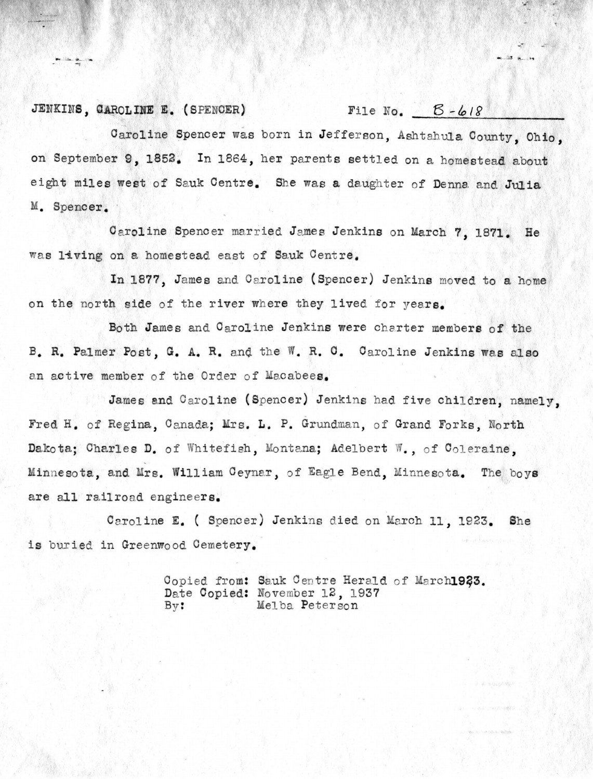## JENKINS, CAROLINE E. (SPENCER) File No.  $5 - 618$

Caroline Spencer was born in Jefferson, Ashtahula County, Ohio. on September 9, 1852. In 1864, her parents settled on a homestead about eight miles west of Sauk Centre. She was **a** daughter of Denna and **Julia**  M. Spencer.

Caroline Spencer married James Jenkins on March 7, 1871. He was living on a homestead east of Sauk Centre.

In 1877, James and Caroline (Spencer) Jenkins moved to a home on the north side of the river where they lived for years.

Both James and Caroline Jenkins were charter members of the B. R. Palmer Post, G. A. R. and the W. R. C. Caroline Jenkins was also an active member of the Order of Macabees.

James and Caroline (Spencer) Jenkins had five children, namely, Fred H. of Regina, Canada; Mrs. L. P. Grundman, of Grand Forks, North Dakota; Charles D. of Whitefish, Montana; Adelbert W., of Coleraine, Minnesota, and Mrs. William Ceynar, of Eagle Bend, Minnesota. The boys are all railroad engineers.

Caroline E. ( Spencer) Jenkins died on March 11, 1923. She is buried in Greenwood Cemetery.

> Copied from: Sauk Centre Herald of March1933. Date Copied: November 12, 1937 By: Melba Peterson